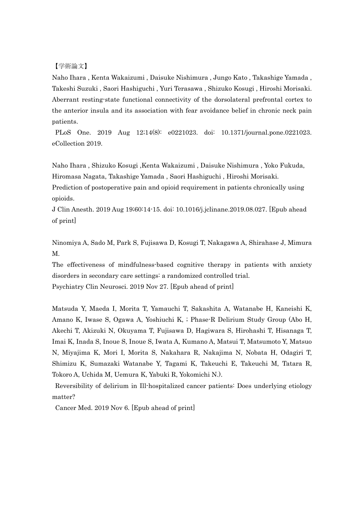【学術論文】

Naho Ihara , Kenta Wakaizumi , Daisuke Nishimura , Jungo Kato , Takashige Yamada , Takeshi Suzuki , Saori Hashiguchi , Yuri Terasawa , Shizuko Kosugi , Hiroshi Morisaki. Aberrant resting-state functional connectivity of the dorsolateral prefrontal cortex to the anterior insula and its association with fear avoidance belief in chronic neck pain patients.

 PLoS One. 2019 Aug 12;14(8): e0221023. doi: 10.1371/journal.pone.0221023. eCollection 2019.

Naho Ihara , Shizuko Kosugi ,Kenta Wakaizumi , Daisuke Nishimura , Yoko Fukuda, Hiromasa Nagata, Takashige Yamada , Saori Hashiguchi , Hiroshi Morisaki.

Prediction of postoperative pain and opioid requirement in patients chronically using opioids.

J Clin Anesth. 2019 Aug 19;60:14-15. doi: 10.1016/j.jclinane.2019.08.027. [Epub ahead of print]

Ninomiya A, Sado M, Park S, Fujisawa D, Kosugi T, Nakagawa A, Shirahase J, Mimura M.

The effectiveness of mindfulness-based cognitive therapy in patients with anxiety disorders in secondary care settings: a randomized controlled trial. Psychiatry Clin Neurosci. 2019 Nov 27. [Epub ahead of print]

Matsuda Y, Maeda I, Morita T, Yamauchi T, Sakashita A, Watanabe H, Kaneishi K, Amano K, Iwase S, Ogawa A, Yoshiuchi K, ; Phase-R Delirium Study Group (Abo H, Akechi T, Akizuki N, Okuyama T, Fujisawa D, Hagiwara S, Hirohashi T, Hisanaga T, Imai K, Inada S, Inoue S, Inoue S, Iwata A, Kumano A, Matsui T, Matsumoto Y, Matsuo N, Miyajima K, Mori I, Morita S, Nakahara R, Nakajima N, Nobata H, Odagiri T, Shimizu K, Sumazaki Watanabe Y, Tagami K, Takeuchi E, Takeuchi M, Tatara R, Tokoro A, Uchida M, Uemura K, Yabuki R, Yokomichi N.).

 Reversibility of delirium in Ill-hospitalized cancer patients: Does underlying etiology matter?

Cancer Med. 2019 Nov 6. [Epub ahead of print]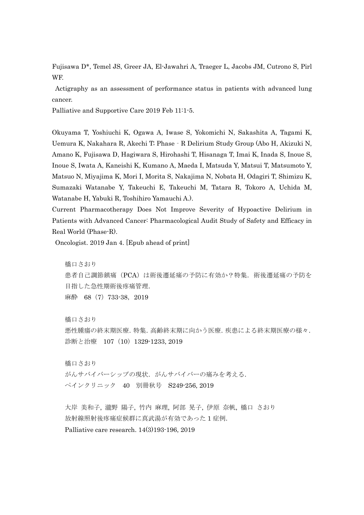Fujisawa D\*, Temel JS, Greer JA, El-Jawahri A, Traeger L, Jacobs JM, Cutrono S, Pirl WF.

 Actigraphy as an assessment of performance status in patients with advanced lung cancer.

Palliative and Supportive Care 2019 Feb 11:1-5.

Okuyama T, Yoshiuchi K, Ogawa A, Iwase S, Yokomichi N, Sakashita A, Tagami K, Uemura K, Nakahara R, Akechi T; Phase‐R Delirium Study Group (Abo H, Akizuki N, Amano K, Fujisawa D, Hagiwara S, Hirohashi T, Hisanaga T, Imai K, Inada S, Inoue S, Inoue S, Iwata A, Kaneishi K, Kumano A, Maeda I, Matsuda Y, Matsui T, Matsumoto Y, Matsuo N, Miyajima K, Mori I, Morita S, Nakajima N, Nobata H, Odagiri T, Shimizu K, Sumazaki Watanabe Y, Takeuchi E, Takeuchi M, Tatara R, Tokoro A, Uchida M, Watanabe H, Yabuki R, Toshihiro Yamauchi A.).

Current Pharmacotherapy Does Not Improve Severity of Hypoactive Delirium in Patients with Advanced Cancer: Pharmacological Audit Study of Safety and Efficacy in Real World (Phase-R).

Oncologist. 2019 Jan 4. [Epub ahead of print]

橋口さおり 患者自己調節鎮痛(PCA)は術後遷延痛の予防に有効か?特集.術後遷延痛の予防を 目指した急性期術後疼痛管理. 麻酔 68 (7) 733-38, 2019

橋口さおり 悪性腫瘍の終末期医療.特集.高齢終末期に向かう医療.疾患による終末期医療の様々. 診断と治療 107(10)1329-1233, 2019

橋口さおり がんサバイバーシップの現状. がんサバイバーの痛みを考える. ペインクリニック 40 別冊秋号 S249-256, 2019

大岸 美和子, 瀧野 陽子, 竹内 麻理, 阿部 晃子, 伊原 奈帆, 橋口 さおり 放射線照射後疼痛症候群に真武湯が有効であった 1 症例. Palliative care research. 14(3)193-196, 2019